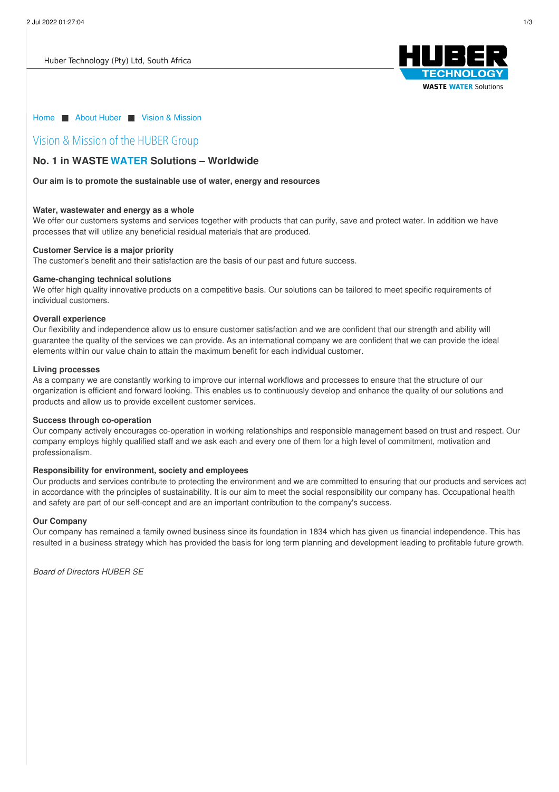

[Home](/) ■ [About](/about-huber.html) Huber ■ Vision & [Mission](/about-huber/vision-mission.html)

# Vision & Mission of the HUBER Group

# **No. 1 in WASTE WATER Solutions – Worldwide**

#### **Our aim is to promote the sustainable use of water, energy and resources**

#### **Water, wastewater and energy as a whole**

We offer our customers systems and services together with products that can purify, save and protect water. In addition we have processes that will utilize any beneficial residual materials that are produced.

#### **Customer Service is a major priority**

The customer's benefit and their satisfaction are the basis of our past and future success.

#### **Game-changing technical solutions**

We offer high quality innovative products on a competitive basis. Our solutions can be tailored to meet specific requirements of individual customers.

#### **Overall experience**

Our flexibility and independence allow us to ensure customer satisfaction and we are confident that our strength and ability will guarantee the quality of the services we can provide. As an international company we are confident that we can provide the ideal elements within our value chain to attain the maximum benefit for each individual customer.

#### **Living processes**

As a company we are constantly working to improve our internal workflows and processes to ensure that the structure of our organization is efficient and forward looking. This enables us to continuously develop and enhance the quality of our solutions and products and allow us to provide excellent customer services.

# **Success through co-operation**

Our company actively encourages co-operation in working relationships and responsible management based on trust and respect. Our company employs highly qualified staff and we ask each and every one of them for a high level of commitment, motivation and professionalism.

### **Responsibility for environment, society and employees**

Our products and services contribute to protecting the environment and we are committed to ensuring that our products and services act in accordance with the principles of sustainability. It is our aim to meet the social responsibility our company has. Occupational health and safety are part of our self-concept and are an important contribution to the company's success.

# **Our Company**

Our company has remained a family owned business since its foundation in 1834 which has given us financial independence. This has resulted in a business strategy which has provided the basis for long term planning and development leading to profitable future growth.

*Board of Directors HUBER SE*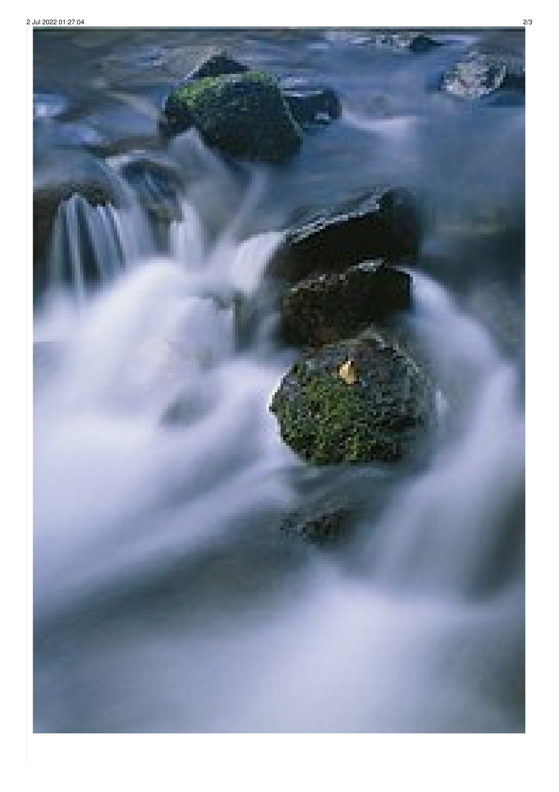